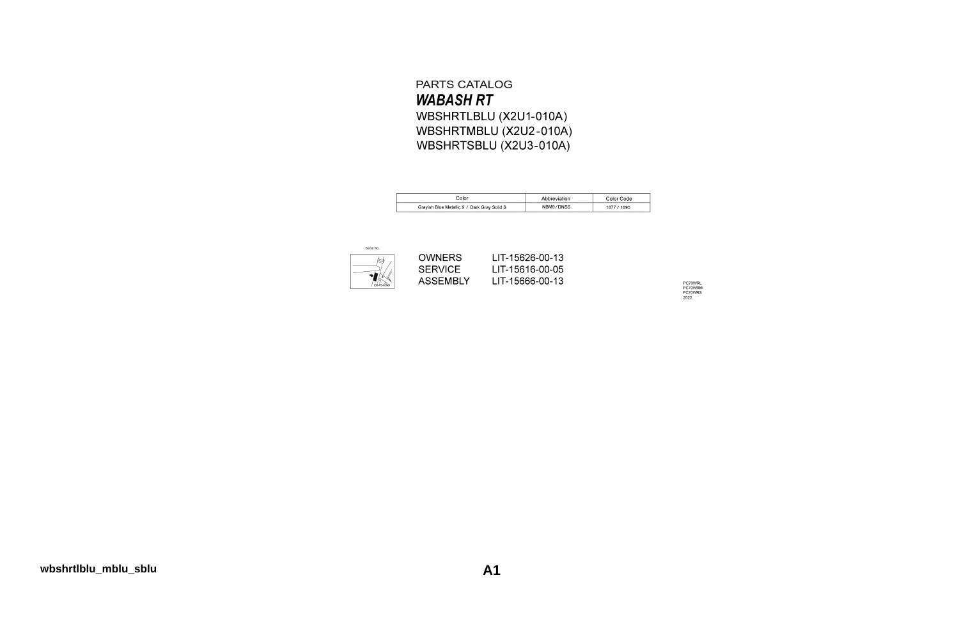### PARTS CATALOG **WABASH RT** WBSHRTLBLU (X2U1-010A) WBSHRTMBLU (X2U2-010A) WBSHRTSBLU (X2U3-010A)

| Color                                       | Abbreviation | Color Code |
|---------------------------------------------|--------------|------------|
| Grayish Blue Metallic 9 / Dark Gray Solid S | NBM9/DNSS    | 1695       |



LIT-15626-00-13 LIT-15616-00-05 LIT-15666-00-13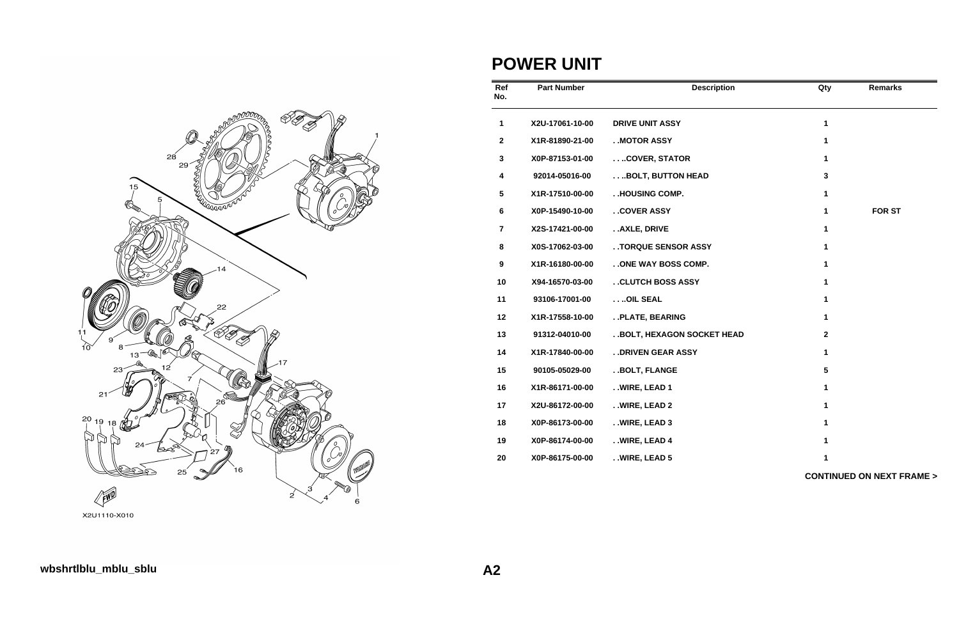

**POWER UNIT**

| Ref<br>No.       | <b>Part Number</b> | <b>Description</b>          | Qty             | <b>Remarks</b>                      |
|------------------|--------------------|-----------------------------|-----------------|-------------------------------------|
| 1                | X2U-17061-10-00    | <b>DRIVE UNIT ASSY</b>      | $\mathbf{1}$    |                                     |
| $\mathbf{2}$     | X1R-81890-21-00    | . MOTOR ASSY                | 1               |                                     |
| $\mathbf 3$      | X0P-87153-01-00    | COVER, STATOR               | 1               |                                     |
| $\boldsymbol{4}$ | 92014-05016-00     | BOLT, BUTTON HEAD           | $\mathbf{3}$    |                                     |
| 5                | X1R-17510-00-00    | . .HOUSING COMP.            | 1               |                                     |
| 6                | X0P-15490-10-00    | . . COVER ASSY              | 1               | <b>FOR ST</b>                       |
| $\overline{7}$   | X2S-17421-00-00    | AXLE, DRIVE                 | $\mathbf{1}$    |                                     |
| 8                | X0S-17062-03-00    | . . TORQUE SENSOR ASSY      | 1               |                                     |
| 9                | X1R-16180-00-00    | . . ONE WAY BOSS COMP.      | 1               |                                     |
| 10               | X94-16570-03-00    | . . CLUTCH BOSS ASSY        | 1               |                                     |
| 11               | 93106-17001-00     | OIL SEAL                    | 1               |                                     |
| 12               | X1R-17558-10-00    | . . PLATE, BEARING          | 1               |                                     |
| 13               | 91312-04010-00     | . BOLT, HEXAGON SOCKET HEAD | $\mathbf 2$     |                                     |
| 14               | X1R-17840-00-00    | . . DRIVEN GEAR ASSY        | 1               |                                     |
| 15               | 90105-05029-00     | . . BOLT, FLANGE            | $5\phantom{.0}$ |                                     |
| 16               | X1R-86171-00-00    | . . WIRE, LEAD 1            | 1               |                                     |
| 17               | X2U-86172-00-00    | . . WIRE, LEAD 2            | 1               |                                     |
| 18               | X0P-86173-00-00    | . . WIRE, LEAD 3            | 1               |                                     |
| 19               | X0P-86174-00-00    | . . WIRE, LEAD 4            | 1               |                                     |
| 20               | X0P-86175-00-00    | . . WIRE, LEAD 5            | 1               |                                     |
|                  |                    |                             |                 | <b>CONTINUED ON NEXT FRAME &gt;</b> |

X2U1110-X010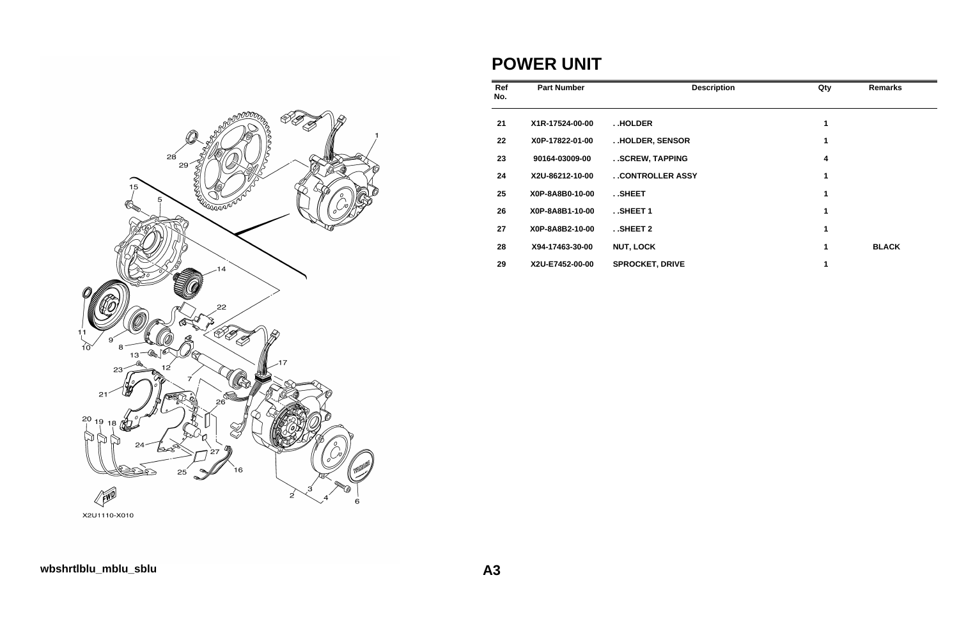

### **POWER UNIT**

| Ref<br>No. | <b>Part Number</b> | <b>Description</b>     | Qty | <b>Remarks</b> |
|------------|--------------------|------------------------|-----|----------------|
| 21         | X1R-17524-00-00    | HOLDER                 | 1   |                |
| 22         | X0P-17822-01-00    | HOLDER, SENSOR         | 1   |                |
| 23         | 90164-03009-00     | SCREW, TAPPING         | 4   |                |
| 24         | X2U-86212-10-00    | . . CONTROLLER ASSY    | 1   |                |
| 25         | X0P-8A8B0-10-00    | SHEET                  | 1   |                |
| 26         | X0P-8A8B1-10-00    | $.$ SHEET 1            | 1   |                |
| 27         | X0P-8A8B2-10-00    | . . SHEET 2            | 1   |                |
| 28         | X94-17463-30-00    | <b>NUT, LOCK</b>       | 1   | <b>BLACK</b>   |
| 29         | X2U-E7452-00-00    | <b>SPROCKET, DRIVE</b> |     |                |

X2U1110-X010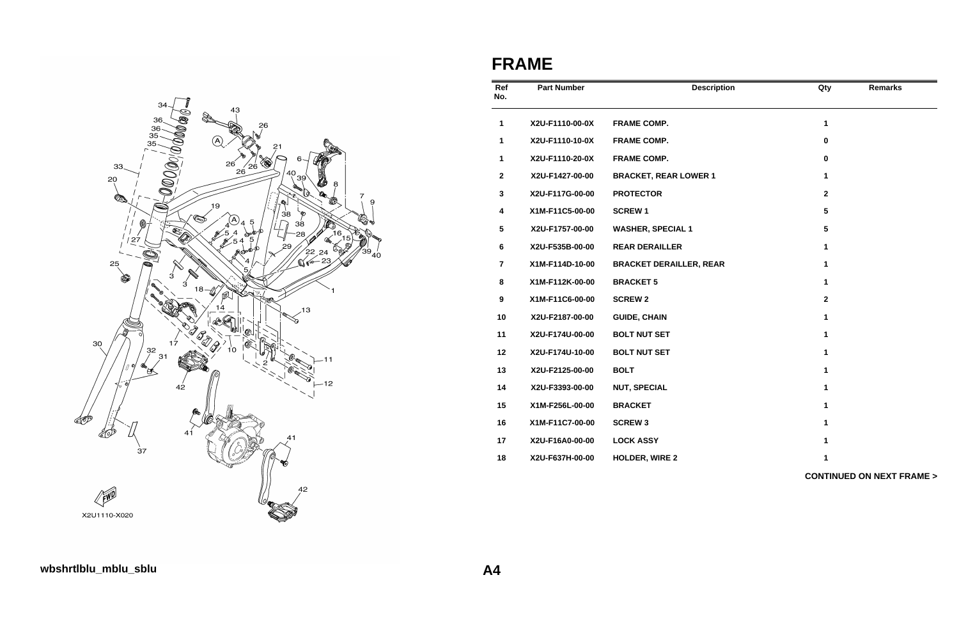

## **FRAME**

| Ref<br>No.     | <b>Part Number</b> | <b>Description</b>             | Qty            | <b>Remarks</b>                      |
|----------------|--------------------|--------------------------------|----------------|-------------------------------------|
| 1              | X2U-F1110-00-0X    | <b>FRAME COMP.</b>             | $\mathbf{1}$   |                                     |
| 1              | X2U-F1110-10-0X    | <b>FRAME COMP.</b>             | $\mathbf 0$    |                                     |
| 1              | X2U-F1110-20-0X    | <b>FRAME COMP.</b>             | $\pmb{0}$      |                                     |
| $\mathbf 2$    | X2U-F1427-00-00    | <b>BRACKET, REAR LOWER 1</b>   | $\mathbf 1$    |                                     |
| 3              | X2U-F117G-00-00    | <b>PROTECTOR</b>               | $\mathbf{2}$   |                                     |
| 4              | X1M-F11C5-00-00    | <b>SCREW1</b>                  | $5\phantom{1}$ |                                     |
| 5              | X2U-F1757-00-00    | <b>WASHER, SPECIAL 1</b>       | $5\phantom{1}$ |                                     |
| 6              | X2U-F535B-00-00    | <b>REAR DERAILLER</b>          | 1              |                                     |
| $\overline{7}$ | X1M-F114D-10-00    | <b>BRACKET DERAILLER, REAR</b> | 1              |                                     |
| 8              | X1M-F112K-00-00    | <b>BRACKET 5</b>               | $\mathbf{1}$   |                                     |
| 9              | X1M-F11C6-00-00    | <b>SCREW 2</b>                 | $\mathbf{2}$   |                                     |
| 10             | X2U-F2187-00-00    | <b>GUIDE, CHAIN</b>            | $\mathbf 1$    |                                     |
| 11             | X2U-F174U-00-00    | <b>BOLT NUT SET</b>            | $\mathbf 1$    |                                     |
| 12             | X2U-F174U-10-00    | <b>BOLT NUT SET</b>            | 1              |                                     |
| 13             | X2U-F2125-00-00    | <b>BOLT</b>                    | 1              |                                     |
| 14             | X2U-F3393-00-00    | <b>NUT, SPECIAL</b>            | $\mathbf{1}$   |                                     |
| 15             | X1M-F256L-00-00    | <b>BRACKET</b>                 | 1              |                                     |
| 16             | X1M-F11C7-00-00    | <b>SCREW 3</b>                 | 1              |                                     |
| 17             | X2U-F16A0-00-00    | <b>LOCK ASSY</b>               | $\mathbf 1$    |                                     |
| 18             | X2U-F637H-00-00    | <b>HOLDER, WIRE 2</b>          | 1              |                                     |
|                |                    |                                |                | <b>CONTINUED ON NEXT FRAME &gt;</b> |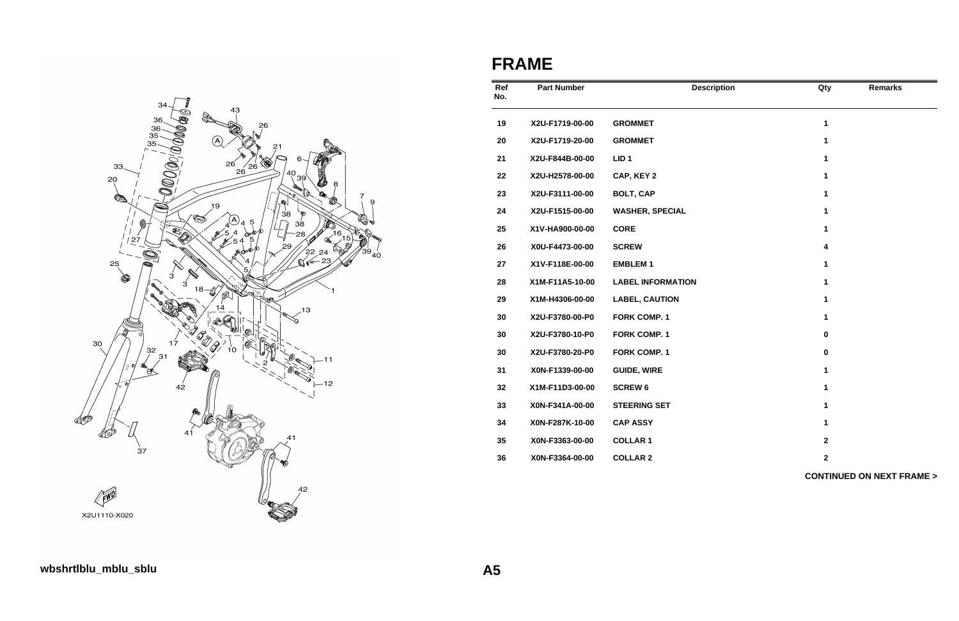

## **FRAME**

| Ref<br>No. | <b>Part Number</b> | <b>Description</b>       | Qty              | <b>Remarks</b>                      |
|------------|--------------------|--------------------------|------------------|-------------------------------------|
| 19         | X2U-F1719-00-00    | <b>GROMMET</b>           | $\mathbf{1}$     |                                     |
| 20         | X2U-F1719-20-00    | <b>GROMMET</b>           | 1                |                                     |
| 21         | X2U-F844B-00-00    | LID <sub>1</sub>         | $\mathbf 1$      |                                     |
| 22         | X2U-H2578-00-00    | CAP, KEY 2               | 1                |                                     |
| 23         | X2U-F3111-00-00    | <b>BOLT, CAP</b>         | 1                |                                     |
| 24         | X2U-F1515-00-00    | <b>WASHER, SPECIAL</b>   | 1                |                                     |
| 25         | X1V-HA900-00-00    | <b>CORE</b>              | 1                |                                     |
| 26         | X0U-F4473-00-00    | <b>SCREW</b>             | $\boldsymbol{4}$ |                                     |
| 27         | X1V-F118E-00-00    | <b>EMBLEM1</b>           | 1                |                                     |
| 28         | X1M-F11A5-10-00    | <b>LABEL INFORMATION</b> | 1                |                                     |
| 29         | X1M-H4306-00-00    | <b>LABEL, CAUTION</b>    | 1                |                                     |
| 30         | X2U-F3780-00-P0    | <b>FORK COMP. 1</b>      | $\mathbf{1}$     |                                     |
| 30         | X2U-F3780-10-P0    | <b>FORK COMP. 1</b>      | $\pmb{0}$        |                                     |
| 30         | X2U-F3780-20-P0    | <b>FORK COMP. 1</b>      | $\pmb{0}$        |                                     |
| 31         | X0N-F1339-00-00    | <b>GUIDE, WIRE</b>       | $\mathbf{1}$     |                                     |
| 32         | X1M-F11D3-00-00    | <b>SCREW 6</b>           | 1                |                                     |
| 33         | X0N-F341A-00-00    | <b>STEERING SET</b>      | 1                |                                     |
| 34         | X0N-F287K-10-00    | <b>CAP ASSY</b>          | 1                |                                     |
| 35         | X0N-F3363-00-00    | <b>COLLAR 1</b>          | $\mathbf 2$      |                                     |
| 36         | X0N-F3364-00-00    | <b>COLLAR 2</b>          | $\mathbf{2}$     |                                     |
|            |                    |                          |                  | <b>CONTINUED ON NEXT FRAME &gt;</b> |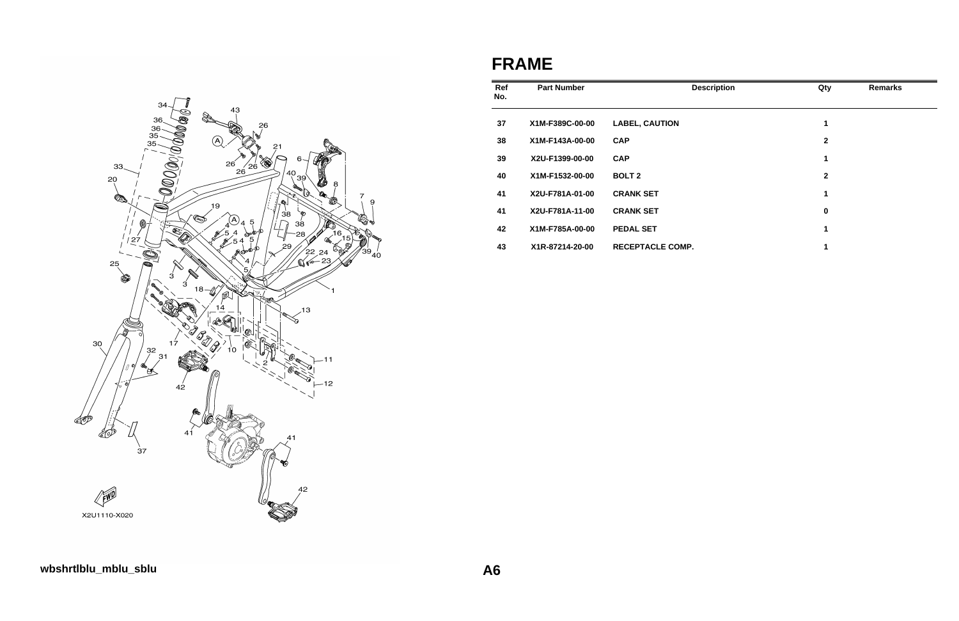

## **FRAME**

| Ref<br>No. | <b>Part Number</b> |                         | Qty<br><b>Description</b> | <b>Remarks</b> |
|------------|--------------------|-------------------------|---------------------------|----------------|
| 37         | X1M-F389C-00-00    | <b>LABEL, CAUTION</b>   | 1                         |                |
| 38         | X1M-F143A-00-00    | <b>CAP</b>              | $\mathbf 2$               |                |
| 39         | X2U-F1399-00-00    | <b>CAP</b>              | 1                         |                |
| 40         | X1M-F1532-00-00    | <b>BOLT 2</b>           | $\mathbf{2}$              |                |
| 41         | X2U-F781A-01-00    | <b>CRANK SET</b>        | 1                         |                |
| 41         | X2U-F781A-11-00    | <b>CRANK SET</b>        | 0                         |                |
| 42         | X1M-F785A-00-00    | <b>PEDAL SET</b>        | 1                         |                |
| 43         | X1R-87214-20-00    | <b>RECEPTACLE COMP.</b> | 1                         |                |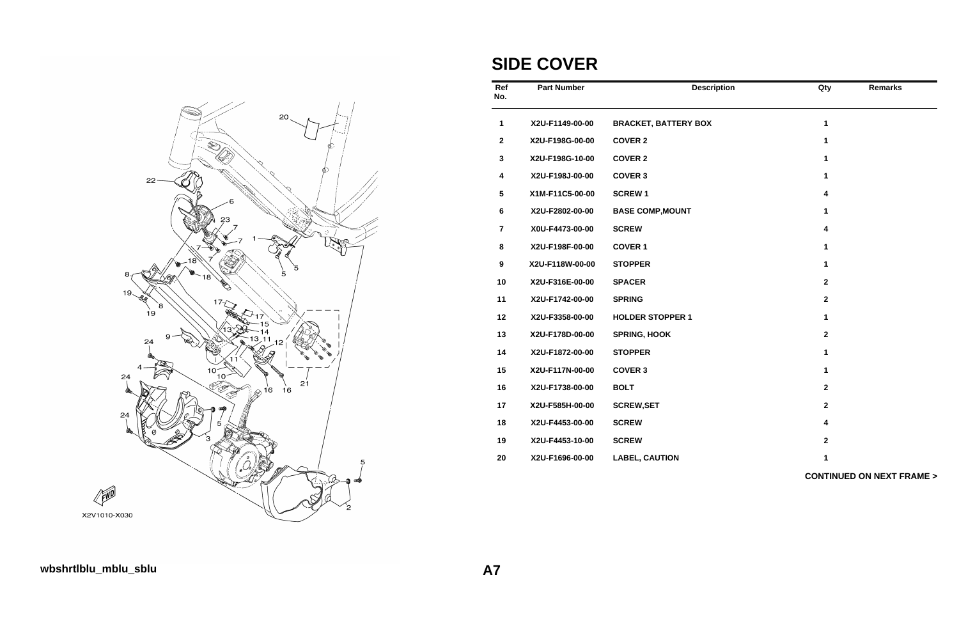

# **SIDE COVER**

| Ref<br>No.              | <b>Part Number</b> | <b>Description</b>          | Qty                     | <b>Remarks</b>                      |
|-------------------------|--------------------|-----------------------------|-------------------------|-------------------------------------|
| 1                       | X2U-F1149-00-00    | <b>BRACKET, BATTERY BOX</b> | $\mathbf{1}$            |                                     |
| $\boldsymbol{2}$        | X2U-F198G-00-00    | <b>COVER 2</b>              | 1                       |                                     |
| $\mathbf 3$             | X2U-F198G-10-00    | <b>COVER 2</b>              | 1                       |                                     |
| $\overline{\mathbf{4}}$ | X2U-F198J-00-00    | <b>COVER 3</b>              | $\mathbf{1}$            |                                     |
| $5\phantom{.0}$         | X1M-F11C5-00-00    | <b>SCREW1</b>               | 4                       |                                     |
| 6                       | X2U-F2802-00-00    | <b>BASE COMP, MOUNT</b>     | 1                       |                                     |
| $\overline{7}$          | X0U-F4473-00-00    | <b>SCREW</b>                | $\overline{\mathbf{4}}$ |                                     |
| 8                       | X2U-F198F-00-00    | <b>COVER 1</b>              | 1                       |                                     |
| 9                       | X2U-F118W-00-00    | <b>STOPPER</b>              | 1                       |                                     |
| 10                      | X2U-F316E-00-00    | <b>SPACER</b>               | $\mathbf{2}$            |                                     |
| 11                      | X2U-F1742-00-00    | <b>SPRING</b>               | $\mathbf 2$             |                                     |
| 12                      | X2U-F3358-00-00    | <b>HOLDER STOPPER 1</b>     | 1                       |                                     |
| 13                      | X2U-F178D-00-00    | <b>SPRING, HOOK</b>         | $\mathbf{2}$            |                                     |
| 14                      | X2U-F1872-00-00    | <b>STOPPER</b>              | 1                       |                                     |
| 15                      | X2U-F117N-00-00    | <b>COVER 3</b>              | $\mathbf{1}$            |                                     |
| 16                      | X2U-F1738-00-00    | <b>BOLT</b>                 | $\mathbf{2}$            |                                     |
| 17                      | X2U-F585H-00-00    | <b>SCREW, SET</b>           | $\mathbf{2}$            |                                     |
| 18                      | X2U-F4453-00-00    | <b>SCREW</b>                | 4                       |                                     |
| 19                      | X2U-F4453-10-00    | <b>SCREW</b>                | $\mathbf{2}$            |                                     |
| 20                      | X2U-F1696-00-00    | <b>LABEL, CAUTION</b>       | 1                       |                                     |
|                         |                    |                             |                         | <b>CONTINUED ON NEXT FRAME &gt;</b> |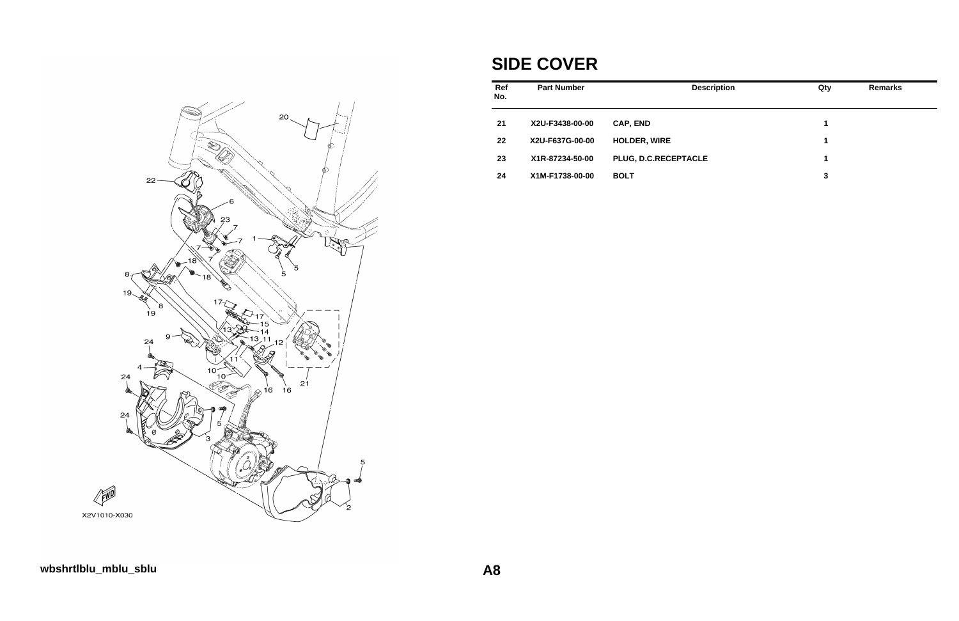

## **SIDE COVER**

| <b>Part Number</b> | <b>Description</b>   | Qty | <b>Remarks</b> |
|--------------------|----------------------|-----|----------------|
| X2U-F3438-00-00    | <b>CAP, END</b>      | 1   |                |
| X2U-F637G-00-00    | <b>HOLDER, WIRE</b>  | 1   |                |
| X1R-87234-50-00    | PLUG, D.C.RECEPTACLE | 1   |                |
| X1M-F1738-00-00    | <b>BOLT</b>          | 3   |                |
|                    |                      |     |                |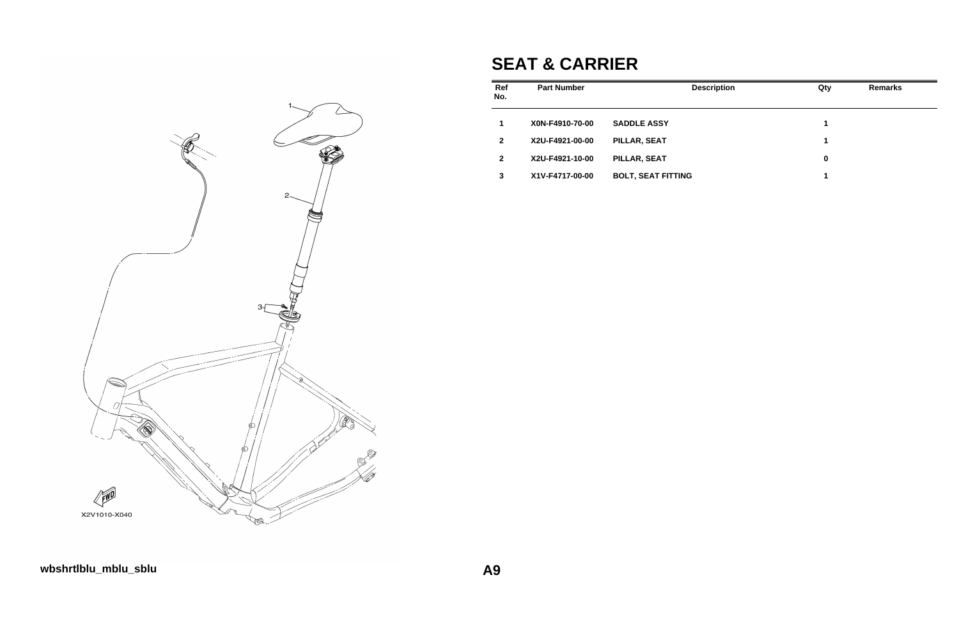

# **SEAT & CARRIER**

| <b>Part Number</b> | <b>Description</b>        | Qty | <b>Remarks</b> |
|--------------------|---------------------------|-----|----------------|
| X0N-F4910-70-00    | <b>SADDLE ASSY</b>        | 1   |                |
| X2U-F4921-00-00    | PILLAR, SEAT              | 1   |                |
| X2U-F4921-10-00    | PILLAR, SEAT              | 0   |                |
| X1V-F4717-00-00    | <b>BOLT, SEAT FITTING</b> | 1   |                |
|                    |                           |     |                |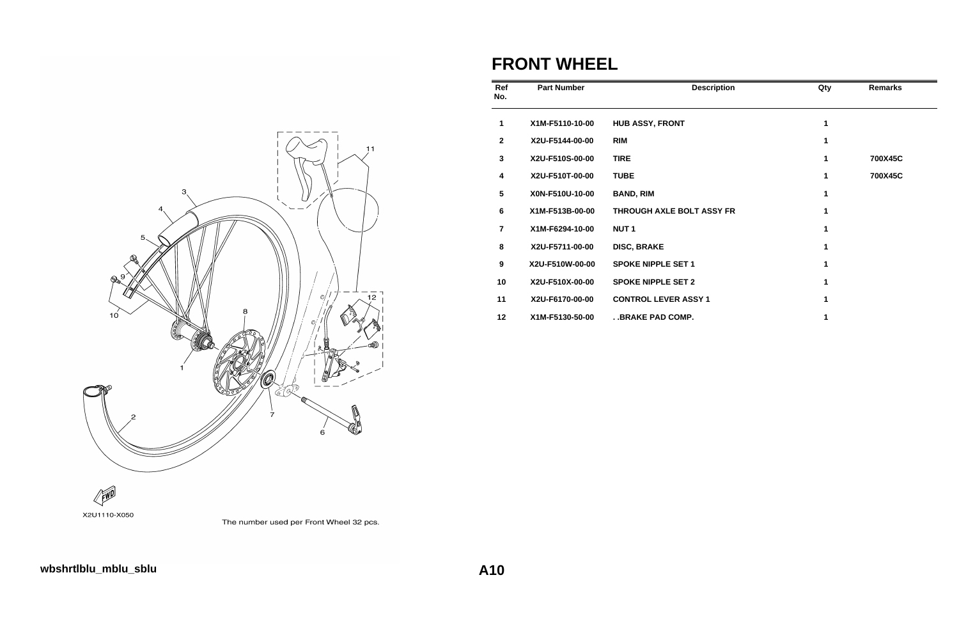

### **FRONT WHEEL**

| Ref<br>No.      | <b>Part Number</b> | <b>Description</b>          | Qty         | <b>Remarks</b> |
|-----------------|--------------------|-----------------------------|-------------|----------------|
| 1               | X1M-F5110-10-00    | <b>HUB ASSY, FRONT</b>      | 1           |                |
| $\mathbf{2}$    | X2U-F5144-00-00    | <b>RIM</b>                  | 1           |                |
| $\mathbf{3}$    | X2U-F510S-00-00    | <b>TIRE</b>                 | 1           | 700X45C        |
| 4               | X2U-F510T-00-00    | <b>TUBE</b>                 | 1           | 700X45C        |
| $5\phantom{.0}$ | X0N-F510U-10-00    | <b>BAND, RIM</b>            | $\mathbf 1$ |                |
| 6               | X1M-F513B-00-00    | THROUGH AXLE BOLT ASSY FR   |             |                |
| $\overline{7}$  | X1M-F6294-10-00    | <b>NUT1</b>                 |             |                |
| 8               | X2U-F5711-00-00    | <b>DISC, BRAKE</b>          | 1           |                |
| 9               | X2U-F510W-00-00    | <b>SPOKE NIPPLE SET 1</b>   |             |                |
| 10              | X2U-F510X-00-00    | <b>SPOKE NIPPLE SET 2</b>   |             |                |
| 11              | X2U-F6170-00-00    | <b>CONTROL LEVER ASSY 1</b> |             |                |
| 12              | X1M-F5130-50-00    | . . BRAKE PAD COMP.         |             |                |



The number used per Front Wheel 32 pcs.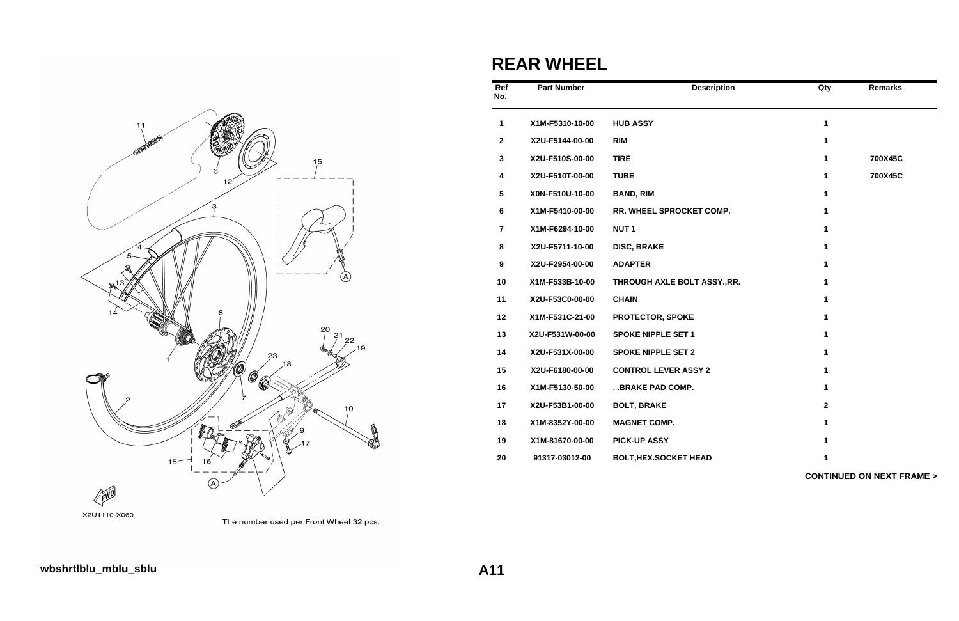

| Ref<br>No.              | <b>Part Number</b> | <b>Description</b>           | Qty          | <b>Remarks</b>                      |
|-------------------------|--------------------|------------------------------|--------------|-------------------------------------|
| 1                       | X1M-F5310-10-00    | <b>HUB ASSY</b>              | 1            |                                     |
| $\mathbf{2}$            | X2U-F5144-00-00    | <b>RIM</b>                   | 1            |                                     |
| $\mathbf{3}$            | X2U-F510S-00-00    | <b>TIRE</b>                  | 1            | 700X45C                             |
| $\overline{\mathbf{4}}$ | X2U-F510T-00-00    | <b>TUBE</b>                  | 1            | 700X45C                             |
| ${\bf 5}$               | X0N-F510U-10-00    | <b>BAND, RIM</b>             | 1            |                                     |
| $\bf 6$                 | X1M-F5410-00-00    | RR. WHEEL SPROCKET COMP.     | 1            |                                     |
| $\overline{7}$          | X1M-F6294-10-00    | NUT <sub>1</sub>             | 1            |                                     |
| 8                       | X2U-F5711-10-00    | <b>DISC, BRAKE</b>           | 1            |                                     |
| $\boldsymbol{9}$        | X2U-F2954-00-00    | <b>ADAPTER</b>               | 1            |                                     |
| 10                      | X1M-F533B-10-00    | THROUGH AXLE BOLT ASSY., RR. | 1            |                                     |
| 11                      | X2U-F53C0-00-00    | <b>CHAIN</b>                 | 1            |                                     |
| 12                      | X1M-F531C-21-00    | <b>PROTECTOR, SPOKE</b>      | 1            |                                     |
| 13                      | X2U-F531W-00-00    | <b>SPOKE NIPPLE SET 1</b>    | 1            |                                     |
| 14                      | X2U-F531X-00-00    | <b>SPOKE NIPPLE SET 2</b>    | 1            |                                     |
| 15                      | X2U-F6180-00-00    | <b>CONTROL LEVER ASSY 2</b>  | 1            |                                     |
| 16                      | X1M-F5130-50-00    | . . BRAKE PAD COMP.          | 1            |                                     |
| 17                      | X2U-F53B1-00-00    | <b>BOLT, BRAKE</b>           | $\mathbf{2}$ |                                     |
| 18                      | X1M-8352Y-00-00    | <b>MAGNET COMP.</b>          | 1            |                                     |
| 19                      | X1M-81670-00-00    | <b>PICK-UP ASSY</b>          | 1            |                                     |
| 20                      | 91317-03012-00     | <b>BOLT, HEX.SOCKET HEAD</b> | 1            |                                     |
|                         |                    |                              |              | <b>CONTINUED ON NEXT FRAME &gt;</b> |



The number used per Front Wheel 32 pcs.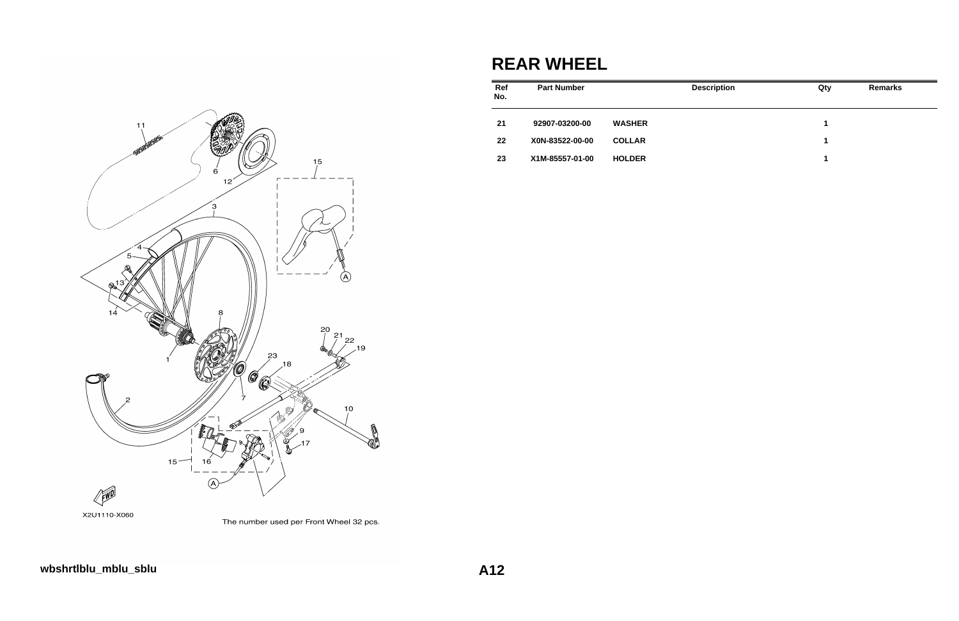

#### X2U1110-X060



### **REAR WHEEL**

| Ref<br>No. | <b>Part Number</b> |               | <b>Description</b> | Qty | <b>Remarks</b> |
|------------|--------------------|---------------|--------------------|-----|----------------|
| 21         | 92907-03200-00     | <b>WASHER</b> |                    | 1   |                |
| 22         | X0N-83522-00-00    | <b>COLLAR</b> |                    | 1   |                |
| 23         | X1M-85557-01-00    | <b>HOLDER</b> |                    | 1   |                |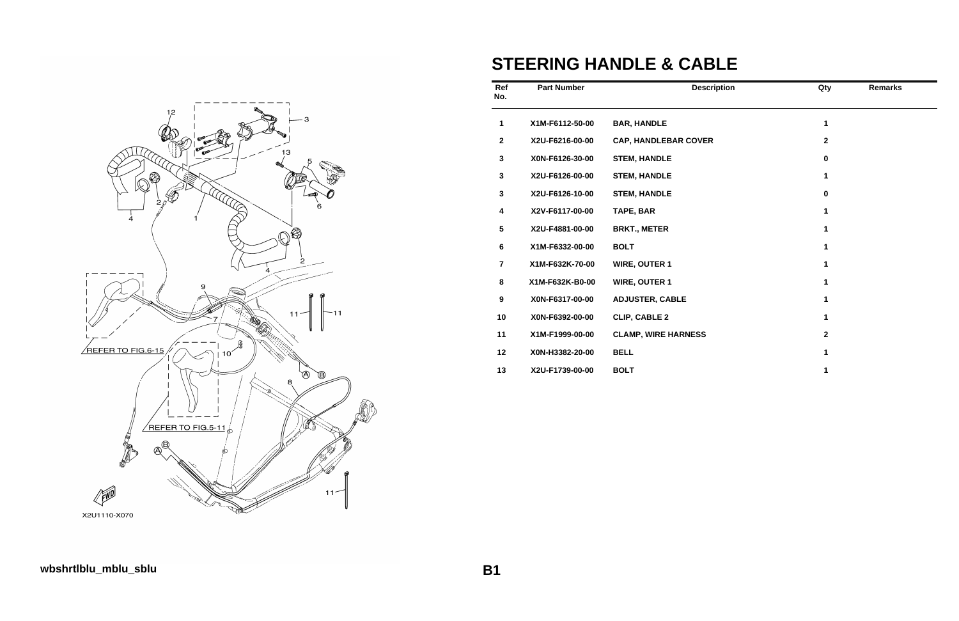

# **STEERING HANDLE & CABLE**

| Ref<br>No.       | <b>Part Number</b> | <b>Description</b>          | Qty          | <b>Remarks</b> |
|------------------|--------------------|-----------------------------|--------------|----------------|
| 1                | X1M-F6112-50-00    | <b>BAR, HANDLE</b>          | 1            |                |
| $\boldsymbol{2}$ | X2U-F6216-00-00    | <b>CAP, HANDLEBAR COVER</b> | $\mathbf{2}$ |                |
| 3                | X0N-F6126-30-00    | <b>STEM, HANDLE</b>         | $\bf{0}$     |                |
| 3                | X2U-F6126-00-00    | <b>STEM, HANDLE</b>         | 1            |                |
| 3                | X2U-F6126-10-00    | <b>STEM, HANDLE</b>         | $\bf{0}$     |                |
| 4                | X2V-F6117-00-00    | TAPE, BAR                   | 1            |                |
| $\sqrt{5}$       | X2U-F4881-00-00    | <b>BRKT., METER</b>         | 1            |                |
| $6\phantom{a}$   | X1M-F6332-00-00    | <b>BOLT</b>                 | 1            |                |
| $\overline{7}$   | X1M-F632K-70-00    | <b>WIRE, OUTER 1</b>        | 1            |                |
| 8                | X1M-F632K-B0-00    | <b>WIRE, OUTER 1</b>        | 1            |                |
| $\boldsymbol{9}$ | X0N-F6317-00-00    | <b>ADJUSTER, CABLE</b>      | 1            |                |
| 10               | X0N-F6392-00-00    | <b>CLIP, CABLE 2</b>        | 1            |                |
| 11               | X1M-F1999-00-00    | <b>CLAMP, WIRE HARNESS</b>  | $\mathbf{2}$ |                |
| 12               | X0N-H3382-20-00    | <b>BELL</b>                 | 1            |                |
| 13               | X2U-F1739-00-00    | <b>BOLT</b>                 |              |                |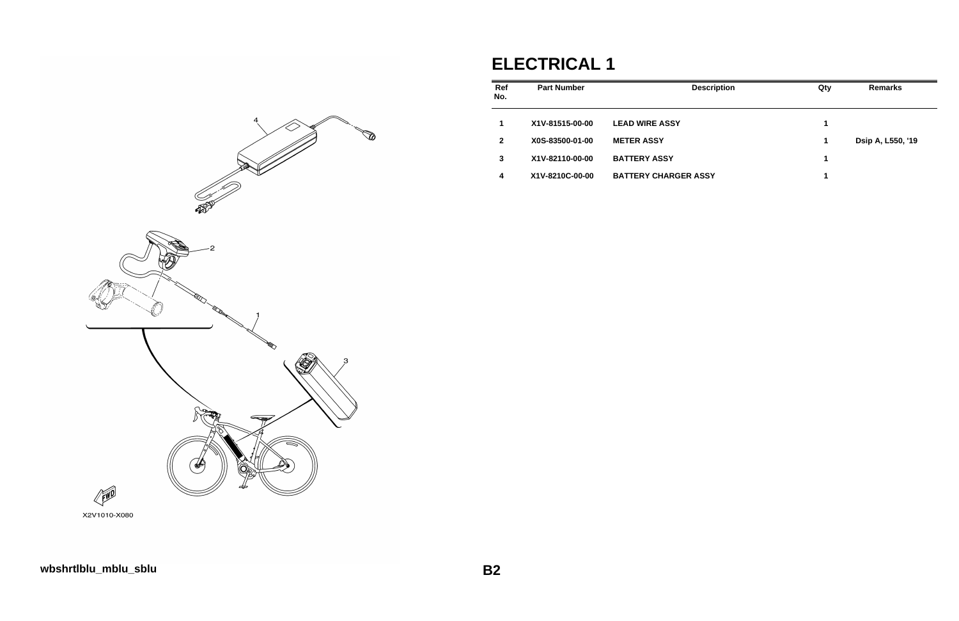

# **ELECTRICAL 1**

| <b>Part Number</b> | <b>Description</b>          | Qty | <b>Remarks</b>    |
|--------------------|-----------------------------|-----|-------------------|
| X1V-81515-00-00    | <b>LEAD WIRE ASSY</b>       | 1   |                   |
| X0S-83500-01-00    | <b>METER ASSY</b>           | 1   | Dsip A, L550, '19 |
| X1V-82110-00-00    | <b>BATTERY ASSY</b>         | 1   |                   |
| X1V-8210C-00-00    | <b>BATTERY CHARGER ASSY</b> | 1   |                   |
|                    |                             |     |                   |

X2V1010-X080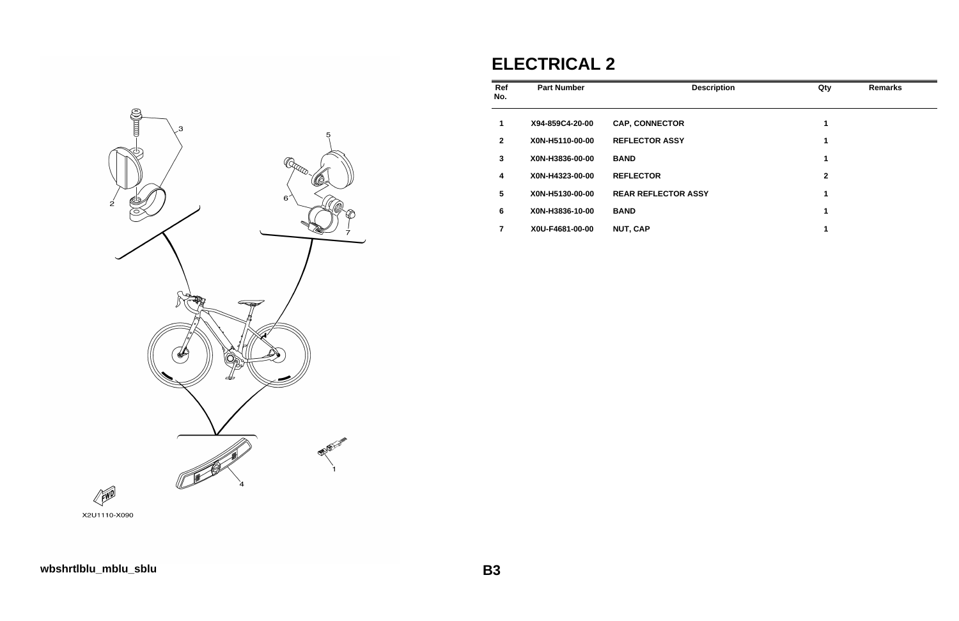

#### X2U1110-X090

# **ELECTRICAL 2**

| Ref<br>No.   | <b>Part Number</b> | <b>Description</b>         | Qty | <b>Remarks</b> |
|--------------|--------------------|----------------------------|-----|----------------|
| 1            | X94-859C4-20-00    | <b>CAP, CONNECTOR</b>      | 1   |                |
| $\mathbf{2}$ | X0N-H5110-00-00    | <b>REFLECTOR ASSY</b>      | 1   |                |
| 3            | X0N-H3836-00-00    | <b>BAND</b>                | 1   |                |
| 4            | X0N-H4323-00-00    | <b>REFLECTOR</b>           | 2   |                |
| 5            | X0N-H5130-00-00    | <b>REAR REFLECTOR ASSY</b> | 1   |                |
| 6            | X0N-H3836-10-00    | <b>BAND</b>                | 1   |                |
| 7            | X0U-F4681-00-00    | <b>NUT, CAP</b>            |     |                |